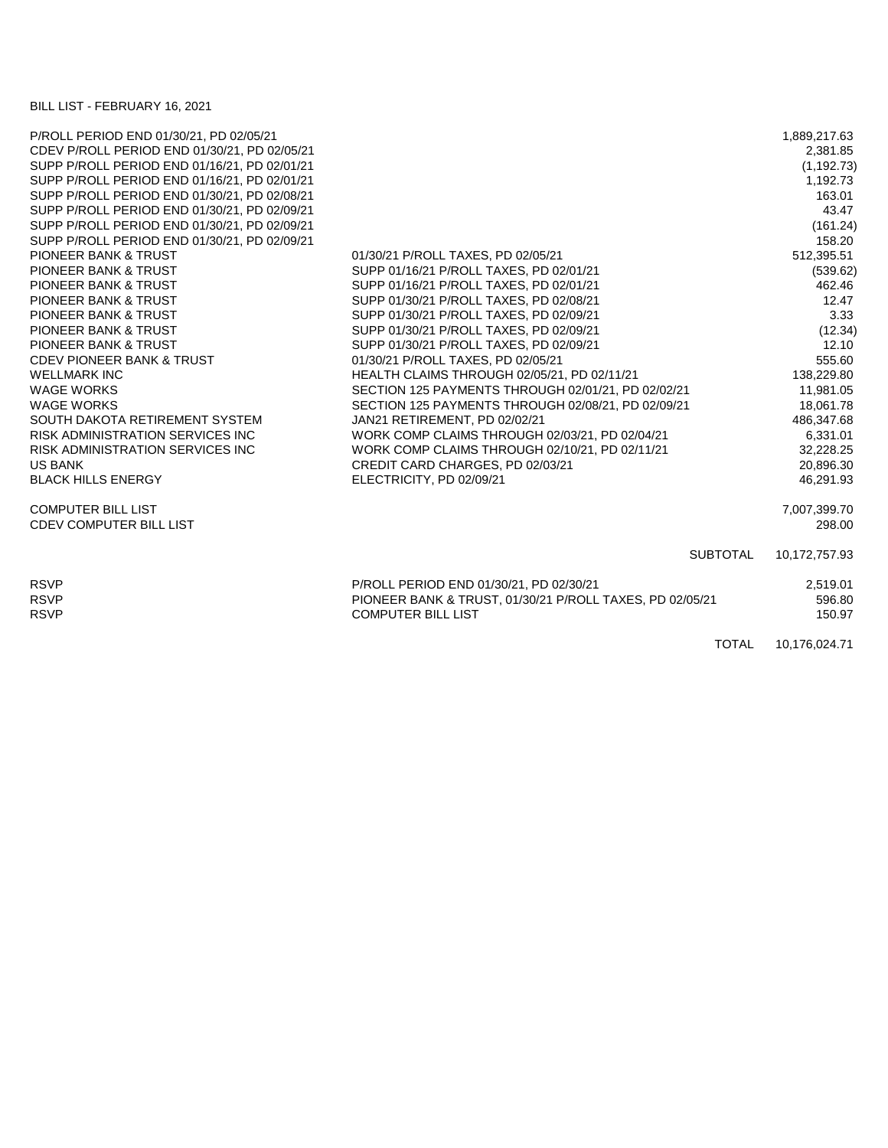BILL LIST - FEBRUARY 16, 2021

| P/ROLL PERIOD END 01/30/21, PD 02/05/21      |                                                          | 1,889,217.63  |
|----------------------------------------------|----------------------------------------------------------|---------------|
| CDEV P/ROLL PERIOD END 01/30/21, PD 02/05/21 |                                                          | 2,381.85      |
| SUPP P/ROLL PERIOD END 01/16/21, PD 02/01/21 |                                                          | (1, 192.73)   |
| SUPP P/ROLL PERIOD END 01/16/21, PD 02/01/21 |                                                          | 1,192.73      |
| SUPP P/ROLL PERIOD END 01/30/21, PD 02/08/21 |                                                          | 163.01        |
| SUPP P/ROLL PERIOD END 01/30/21, PD 02/09/21 |                                                          | 43.47         |
| SUPP P/ROLL PERIOD END 01/30/21, PD 02/09/21 |                                                          | (161.24)      |
| SUPP P/ROLL PERIOD END 01/30/21, PD 02/09/21 |                                                          | 158.20        |
| <b>PIONEER BANK &amp; TRUST</b>              | 01/30/21 P/ROLL TAXES, PD 02/05/21                       | 512,395.51    |
| <b>PIONEER BANK &amp; TRUST</b>              | SUPP 01/16/21 P/ROLL TAXES, PD 02/01/21                  | (539.62)      |
| <b>PIONEER BANK &amp; TRUST</b>              | SUPP 01/16/21 P/ROLL TAXES, PD 02/01/21                  | 462.46        |
| <b>PIONEER BANK &amp; TRUST</b>              | SUPP 01/30/21 P/ROLL TAXES, PD 02/08/21                  | 12.47         |
| PIONEER BANK & TRUST                         | SUPP 01/30/21 P/ROLL TAXES, PD 02/09/21                  | 3.33          |
| PIONEER BANK & TRUST                         | SUPP 01/30/21 P/ROLL TAXES, PD 02/09/21                  | (12.34)       |
| <b>PIONEER BANK &amp; TRUST</b>              | SUPP 01/30/21 P/ROLL TAXES, PD 02/09/21                  | 12.10         |
| <b>CDEV PIONEER BANK &amp; TRUST</b>         | 01/30/21 P/ROLL TAXES, PD 02/05/21                       | 555.60        |
| <b>WELLMARK INC</b>                          | HEALTH CLAIMS THROUGH 02/05/21, PD 02/11/21              | 138,229.80    |
| <b>WAGE WORKS</b>                            | SECTION 125 PAYMENTS THROUGH 02/01/21, PD 02/02/21       | 11,981.05     |
| <b>WAGE WORKS</b>                            | SECTION 125 PAYMENTS THROUGH 02/08/21, PD 02/09/21       | 18,061.78     |
| SOUTH DAKOTA RETIREMENT SYSTEM               | JAN21 RETIREMENT, PD 02/02/21                            | 486,347.68    |
| RISK ADMINISTRATION SERVICES INC             | WORK COMP CLAIMS THROUGH 02/03/21, PD 02/04/21           | 6,331.01      |
| <b>RISK ADMINISTRATION SERVICES INC.</b>     | WORK COMP CLAIMS THROUGH 02/10/21, PD 02/11/21           | 32,228.25     |
| <b>US BANK</b>                               | CREDIT CARD CHARGES, PD 02/03/21                         | 20,896.30     |
| <b>BLACK HILLS ENERGY</b>                    | ELECTRICITY, PD 02/09/21                                 | 46,291.93     |
| <b>COMPUTER BILL LIST</b>                    |                                                          | 7,007,399.70  |
| <b>CDEV COMPUTER BILL LIST</b>               |                                                          | 298.00        |
|                                              | <b>SUBTOTAL</b>                                          | 10,172,757.93 |
| <b>RSVP</b>                                  | P/ROLL PERIOD END 01/30/21, PD 02/30/21                  | 2,519.01      |
| <b>RSVP</b>                                  | PIONEER BANK & TRUST, 01/30/21 P/ROLL TAXES, PD 02/05/21 | 596.80        |
| <b>RSVP</b>                                  | <b>COMPUTER BILL LIST</b>                                | 150.97        |
|                                              | <b>TOTAL</b>                                             | 10,176,024.71 |
|                                              |                                                          |               |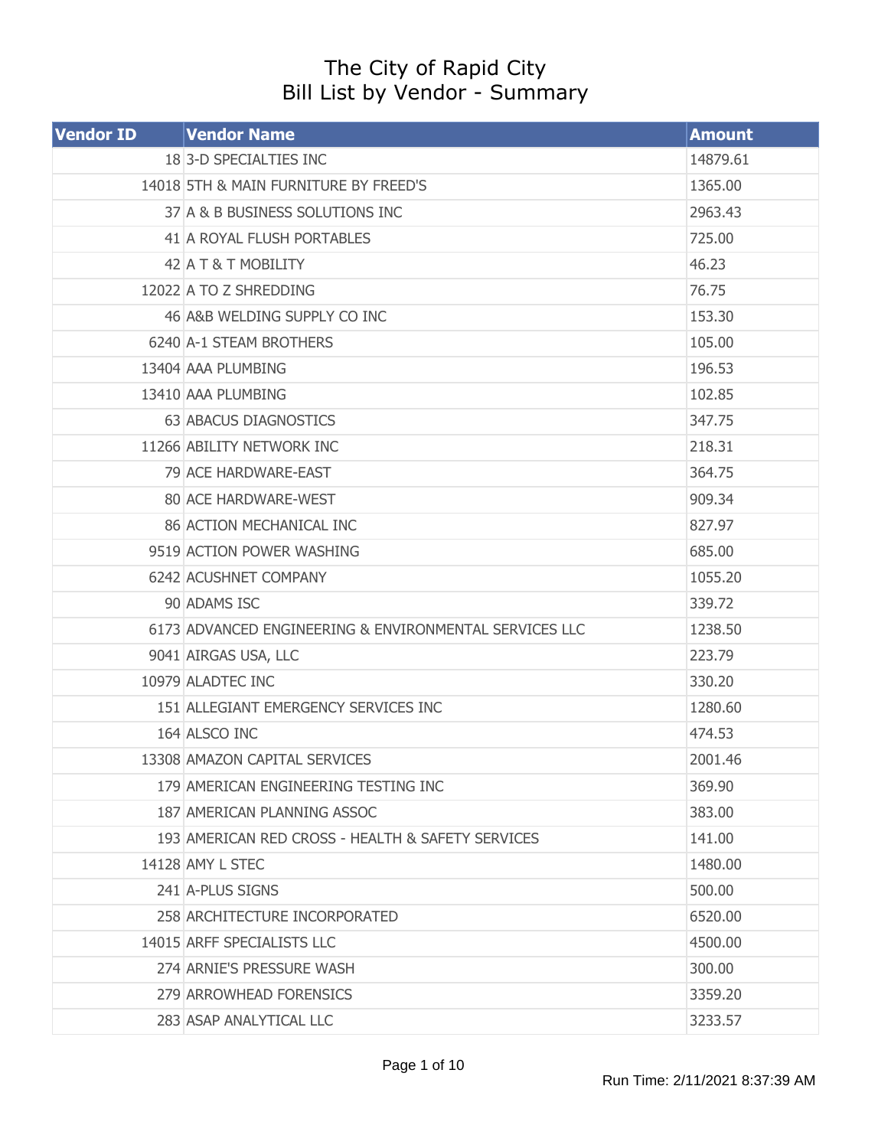## The City of Rapid City Bill List by Vendor - Summary

| <b>Vendor ID</b> | <b>Vendor Name</b>                                     | <b>Amount</b> |
|------------------|--------------------------------------------------------|---------------|
|                  | 18 3-D SPECIALTIES INC                                 | 14879.61      |
|                  | 14018 5TH & MAIN FURNITURE BY FREED'S                  | 1365.00       |
|                  | 37 A & B BUSINESS SOLUTIONS INC                        | 2963.43       |
|                  | 41 A ROYAL FLUSH PORTABLES                             | 725.00        |
|                  | 42 A T & T MOBILITY                                    | 46.23         |
|                  | 12022 A TO Z SHREDDING                                 | 76.75         |
|                  | 46 A&B WELDING SUPPLY CO INC                           | 153.30        |
|                  | 6240 A-1 STEAM BROTHERS                                | 105.00        |
|                  | 13404 AAA PLUMBING                                     | 196.53        |
|                  | 13410 AAA PLUMBING                                     | 102.85        |
|                  | 63 ABACUS DIAGNOSTICS                                  | 347.75        |
|                  | 11266 ABILITY NETWORK INC                              | 218.31        |
|                  | 79 ACE HARDWARE-EAST                                   | 364.75        |
|                  | 80 ACE HARDWARE-WEST                                   | 909.34        |
|                  | 86 ACTION MECHANICAL INC                               | 827.97        |
|                  | 9519 ACTION POWER WASHING                              | 685.00        |
|                  | 6242 ACUSHNET COMPANY                                  | 1055.20       |
|                  | 90 ADAMS ISC                                           | 339.72        |
|                  | 6173 ADVANCED ENGINEERING & ENVIRONMENTAL SERVICES LLC | 1238.50       |
|                  | 9041 AIRGAS USA, LLC                                   | 223.79        |
|                  | 10979 ALADTEC INC                                      | 330.20        |
|                  | 151 ALLEGIANT EMERGENCY SERVICES INC                   | 1280.60       |
|                  | 164 ALSCO INC                                          | 474.53        |
|                  | 13308 AMAZON CAPITAL SERVICES                          | 2001.46       |
|                  | 179 AMERICAN ENGINEERING TESTING INC                   | 369.90        |
|                  | 187 AMERICAN PLANNING ASSOC                            | 383.00        |
|                  | 193 AMERICAN RED CROSS - HEALTH & SAFETY SERVICES      | 141.00        |
|                  | 14128 AMY L STEC                                       | 1480.00       |
|                  | 241 A-PLUS SIGNS                                       | 500.00        |
|                  | 258 ARCHITECTURE INCORPORATED                          | 6520.00       |
|                  | 14015 ARFF SPECIALISTS LLC                             | 4500.00       |
|                  | 274 ARNIE'S PRESSURE WASH                              | 300.00        |
|                  | 279 ARROWHEAD FORENSICS                                | 3359.20       |
|                  | 283 ASAP ANALYTICAL LLC                                | 3233.57       |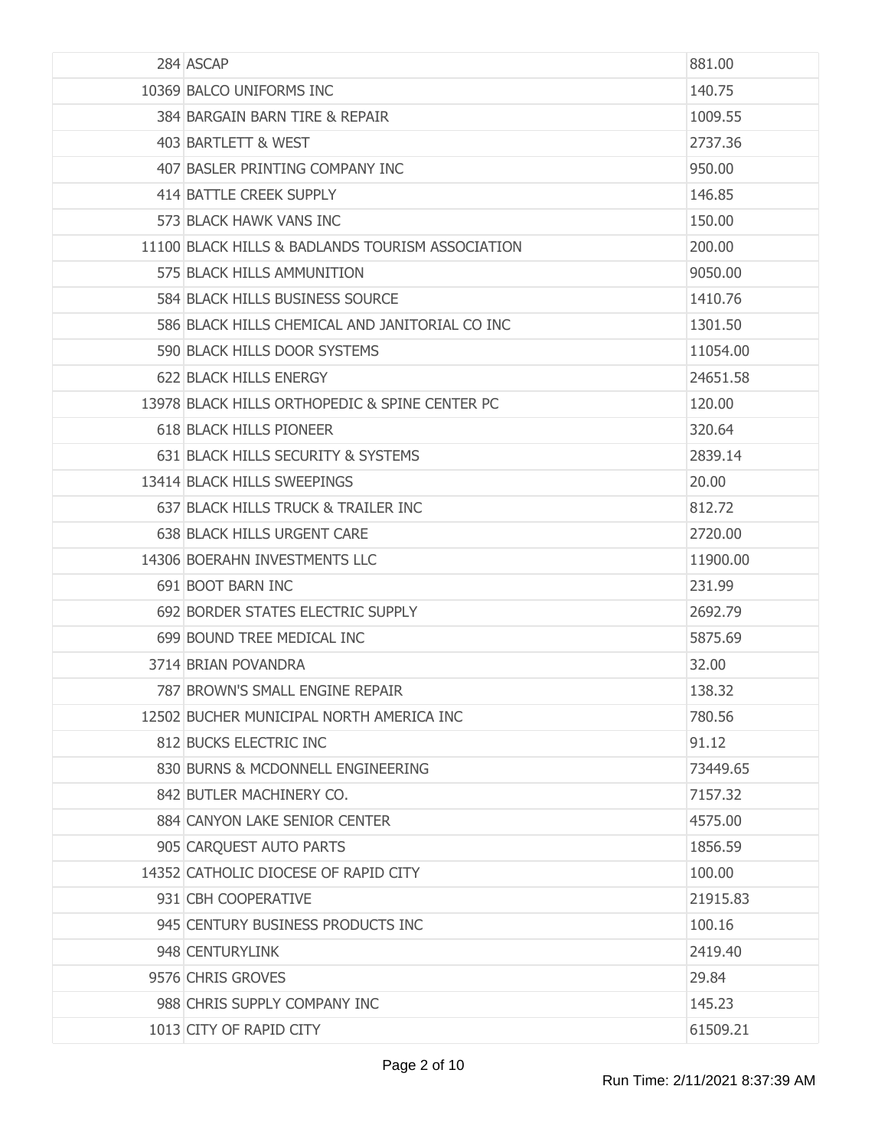| 284 ASCAP                                        | 881.00   |
|--------------------------------------------------|----------|
| 10369 BALCO UNIFORMS INC                         | 140.75   |
| 384 BARGAIN BARN TIRE & REPAIR                   | 1009.55  |
| 403 BARTLETT & WEST                              | 2737.36  |
| 407 BASLER PRINTING COMPANY INC                  | 950.00   |
| 414 BATTLE CREEK SUPPLY                          | 146.85   |
| 573 BLACK HAWK VANS INC                          | 150,00   |
| 11100 BLACK HILLS & BADLANDS TOURISM ASSOCIATION | 200.00   |
| 575 BLACK HILLS AMMUNITION                       | 9050.00  |
| 584 BLACK HILLS BUSINESS SOURCE                  | 1410.76  |
| 586 BLACK HILLS CHEMICAL AND JANITORIAL CO INC   | 1301.50  |
| 590 BLACK HILLS DOOR SYSTEMS                     | 11054.00 |
| 622 BLACK HILLS ENERGY                           | 24651.58 |
| 13978 BLACK HILLS ORTHOPEDIC & SPINE CENTER PC   | 120.00   |
| 618 BLACK HILLS PIONEER                          | 320.64   |
| 631 BLACK HILLS SECURITY & SYSTEMS               | 2839.14  |
| 13414 BLACK HILLS SWEEPINGS                      | 20.00    |
| 637 BLACK HILLS TRUCK & TRAILER INC              | 812.72   |
| 638 BLACK HILLS URGENT CARE                      | 2720.00  |
| 14306 BOERAHN INVESTMENTS LLC                    | 11900.00 |
| 691 BOOT BARN INC                                | 231.99   |
| 692 BORDER STATES ELECTRIC SUPPLY                | 2692.79  |
| 699 BOUND TREE MEDICAL INC                       | 5875.69  |
| 3714 BRIAN POVANDRA                              | 32.00    |
| 787 BROWN'S SMALL ENGINE REPAIR                  | 138.32   |
| 12502 BUCHER MUNICIPAL NORTH AMERICA INC         | 780.56   |
| 812 BUCKS ELECTRIC INC                           | 91.12    |
| 830 BURNS & MCDONNELL ENGINEERING                | 73449.65 |
| 842 BUTLER MACHINERY CO.                         | 7157.32  |
| 884 CANYON LAKE SENIOR CENTER                    | 4575.00  |
| 905 CARQUEST AUTO PARTS                          | 1856.59  |
| 14352 CATHOLIC DIOCESE OF RAPID CITY             | 100.00   |
| 931 CBH COOPERATIVE                              | 21915.83 |
| 945 CENTURY BUSINESS PRODUCTS INC                | 100.16   |
| 948 CENTURYLINK                                  | 2419.40  |
| 9576 CHRIS GROVES                                | 29.84    |
| 988 CHRIS SUPPLY COMPANY INC                     | 145.23   |
| 1013 CITY OF RAPID CITY                          | 61509.21 |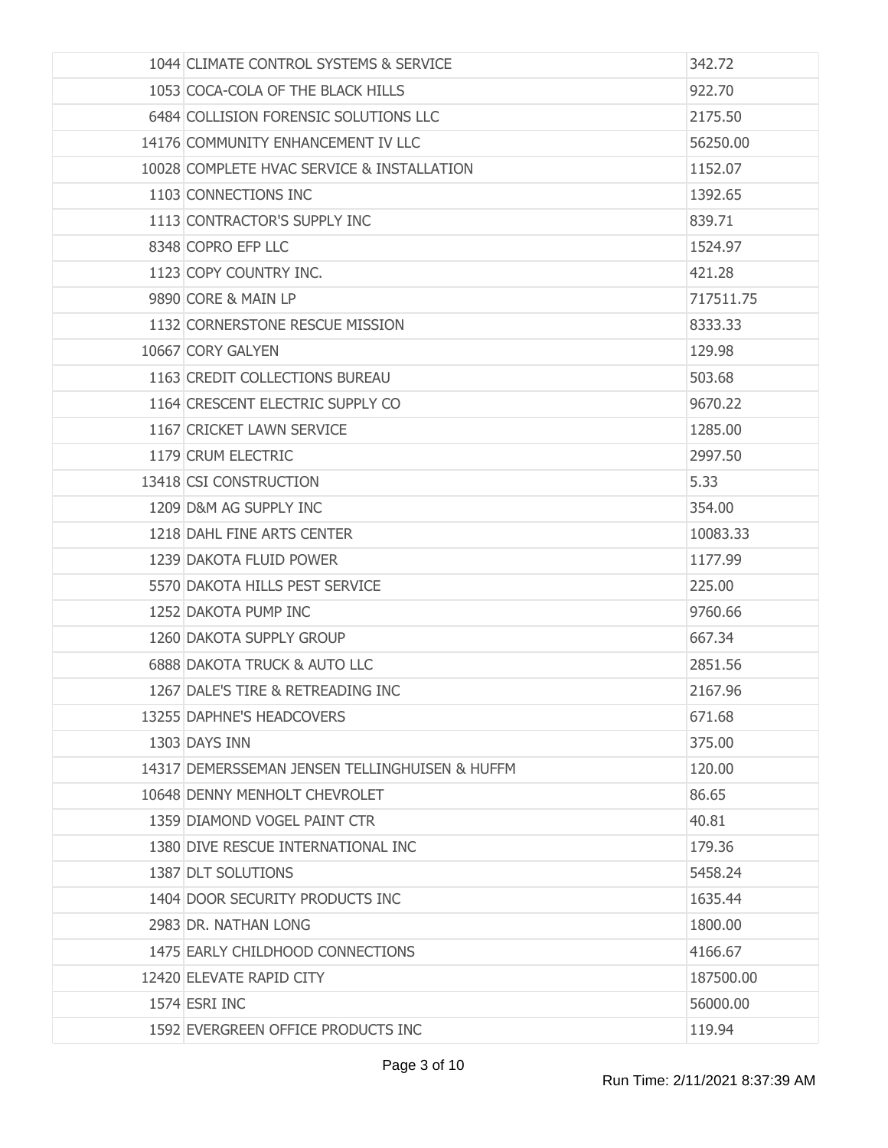| 1044 CLIMATE CONTROL SYSTEMS & SERVICE         | 342.72    |
|------------------------------------------------|-----------|
| 1053 COCA-COLA OF THE BLACK HILLS              | 922.70    |
| 6484 COLLISION FORENSIC SOLUTIONS LLC          | 2175.50   |
| 14176 COMMUNITY ENHANCEMENT IV LLC             | 56250,00  |
| 10028 COMPLETE HVAC SERVICE & INSTALLATION     | 1152.07   |
| 1103 CONNECTIONS INC                           | 1392.65   |
| 1113 CONTRACTOR'S SUPPLY INC                   | 839.71    |
| 8348 COPRO EFP LLC                             | 1524.97   |
| 1123 COPY COUNTRY INC.                         | 421.28    |
| 9890 CORE & MAIN LP                            | 717511.75 |
| 1132 CORNERSTONE RESCUE MISSION                | 8333.33   |
| 10667 CORY GALYEN                              | 129.98    |
| 1163 CREDIT COLLECTIONS BUREAU                 | 503.68    |
| 1164 CRESCENT ELECTRIC SUPPLY CO               | 9670.22   |
| 1167 CRICKET LAWN SERVICE                      | 1285,00   |
| 1179 CRUM ELECTRIC                             | 2997.50   |
| 13418 CSI CONSTRUCTION                         | 5.33      |
| 1209 D&M AG SUPPLY INC                         | 354.00    |
| 1218 DAHL FINE ARTS CENTER                     | 10083.33  |
| 1239 DAKOTA FLUID POWER                        | 1177.99   |
| 5570 DAKOTA HILLS PEST SERVICE                 | 225.00    |
| 1252 DAKOTA PUMP INC                           | 9760.66   |
| 1260 DAKOTA SUPPLY GROUP                       | 667.34    |
| <b>6888 DAKOTA TRUCK &amp; AUTO LLC</b>        | 2851.56   |
| 1267 DALE'S TIRE & RETREADING INC              | 2167.96   |
| 13255 DAPHNE'S HEADCOVERS                      | 671.68    |
| 1303 DAYS INN                                  | 375.00    |
| 14317 DEMERSSEMAN JENSEN TELLINGHUISEN & HUFFM | 120.00    |
| 10648 DENNY MENHOLT CHEVROLET                  | 86.65     |
| 1359 DIAMOND VOGEL PAINT CTR                   | 40.81     |
| 1380 DIVE RESCUE INTERNATIONAL INC             | 179.36    |
| 1387 DLT SOLUTIONS                             | 5458.24   |
| 1404 DOOR SECURITY PRODUCTS INC                | 1635.44   |
| 2983 DR. NATHAN LONG                           | 1800.00   |
| 1475 EARLY CHILDHOOD CONNECTIONS               | 4166.67   |
| 12420 ELEVATE RAPID CITY                       | 187500.00 |
| 1574 ESRI INC                                  | 56000.00  |
| 1592 EVERGREEN OFFICE PRODUCTS INC             | 119.94    |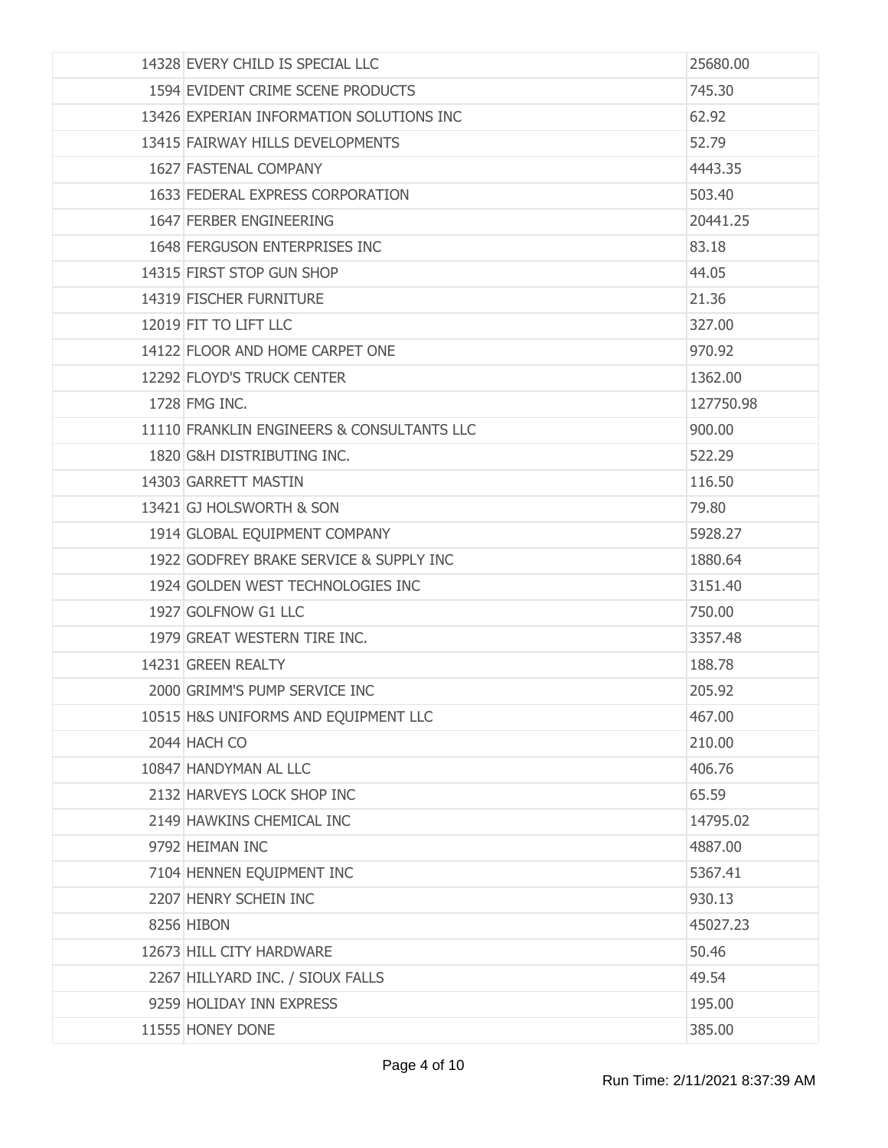| 14328 EVERY CHILD IS SPECIAL LLC           | 25680.00  |
|--------------------------------------------|-----------|
| 1594 EVIDENT CRIME SCENE PRODUCTS          | 745.30    |
| 13426 EXPERIAN INFORMATION SOLUTIONS INC   | 62.92     |
| 13415 FAIRWAY HILLS DEVELOPMENTS           | 52.79     |
| 1627 FASTENAL COMPANY                      | 4443.35   |
| 1633 FEDERAL EXPRESS CORPORATION           | 503.40    |
| 1647 FERBER ENGINEERING                    | 20441.25  |
| 1648 FERGUSON ENTERPRISES INC              | 83.18     |
| 14315 FIRST STOP GUN SHOP                  | 44.05     |
| 14319 FISCHER FURNITURE                    | 21.36     |
| 12019 FIT TO LIFT LLC                      | 327.00    |
| 14122 FLOOR AND HOME CARPET ONE            | 970.92    |
| 12292 FLOYD'S TRUCK CENTER                 | 1362,00   |
| 1728 FMG INC.                              | 127750.98 |
| 11110 FRANKLIN ENGINEERS & CONSULTANTS LLC | 900.00    |
| 1820 G&H DISTRIBUTING INC.                 | 522.29    |
| 14303 GARRETT MASTIN                       | 116.50    |
| 13421 GJ HOLSWORTH & SON                   | 79.80     |
| 1914 GLOBAL EQUIPMENT COMPANY              | 5928.27   |
| 1922 GODFREY BRAKE SERVICE & SUPPLY INC    | 1880.64   |
| 1924 GOLDEN WEST TECHNOLOGIES INC          | 3151.40   |
| 1927 GOLFNOW G1 LLC                        | 750.00    |
| 1979 GREAT WESTERN TIRE INC.               | 3357.48   |
| 14231 GREEN REALTY                         | 188.78    |
| 2000 GRIMM'S PUMP SERVICE INC              | 205.92    |
| 10515 H&S UNIFORMS AND EQUIPMENT LLC       | 467.00    |
| 2044 HACH CO                               | 210.00    |
| 10847 HANDYMAN AL LLC                      | 406.76    |
| 2132 HARVEYS LOCK SHOP INC                 | 65.59     |
| 2149 HAWKINS CHEMICAL INC                  | 14795.02  |
| 9792 HEIMAN INC                            | 4887,00   |
| 7104 HENNEN EQUIPMENT INC                  | 5367.41   |
| 2207 HENRY SCHEIN INC                      | 930.13    |
| 8256 HIBON                                 | 45027.23  |
| 12673 HILL CITY HARDWARE                   | 50.46     |
| 2267 HILLYARD INC. / SIOUX FALLS           | 49.54     |
| 9259 HOLIDAY INN EXPRESS                   | 195.00    |
| 11555 HONEY DONE                           | 385.00    |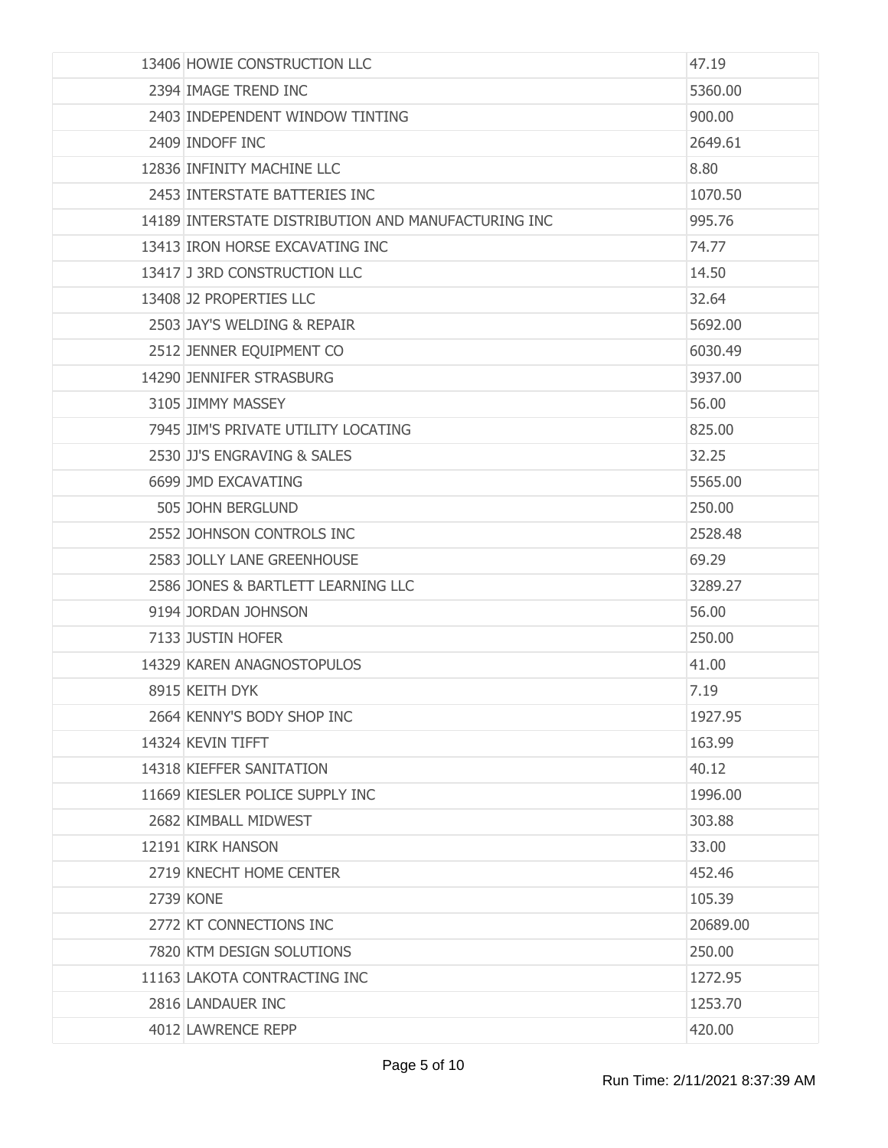| 13406 HOWIE CONSTRUCTION LLC                        | 47.19    |
|-----------------------------------------------------|----------|
| 2394 IMAGE TREND INC                                | 5360.00  |
| 2403 INDEPENDENT WINDOW TINTING                     | 900.00   |
| 2409 INDOFF INC                                     | 2649.61  |
| 12836 INFINITY MACHINE LLC                          | 8.80     |
| 2453 INTERSTATE BATTERIES INC                       | 1070.50  |
| 14189 INTERSTATE DISTRIBUTION AND MANUFACTURING INC | 995.76   |
| 13413 IRON HORSE EXCAVATING INC                     | 74.77    |
| 13417 J 3RD CONSTRUCTION LLC                        | 14.50    |
| 13408 J2 PROPERTIES LLC                             | 32.64    |
| 2503 JAY'S WELDING & REPAIR                         | 5692.00  |
| 2512 JENNER EQUIPMENT CO                            | 6030.49  |
| 14290 JENNIFER STRASBURG                            | 3937.00  |
| 3105 JIMMY MASSEY                                   | 56.00    |
| 7945 JIM'S PRIVATE UTILITY LOCATING                 | 825.00   |
| 2530 JJ'S ENGRAVING & SALES                         | 32.25    |
| 6699 JMD EXCAVATING                                 | 5565.00  |
| 505 JOHN BERGLUND                                   | 250.00   |
| 2552 JOHNSON CONTROLS INC                           | 2528.48  |
| 2583 JOLLY LANE GREENHOUSE                          | 69.29    |
| 2586 JONES & BARTLETT LEARNING LLC                  | 3289.27  |
| 9194 JORDAN JOHNSON                                 | 56.00    |
| 7133 JUSTIN HOFER                                   | 250.00   |
| 14329 KAREN ANAGNOSTOPULOS                          | 41.00    |
| 8915 KEITH DYK                                      | 7.19     |
| 2664 KENNY'S BODY SHOP INC                          | 1927.95  |
| 14324 KEVIN TIFFT                                   | 163.99   |
| 14318 KIEFFER SANITATION                            | 40.12    |
| 11669 KIESLER POLICE SUPPLY INC                     | 1996.00  |
| 2682 KIMBALL MIDWEST                                | 303.88   |
| 12191 KIRK HANSON                                   | 33.00    |
| 2719 KNECHT HOME CENTER                             | 452.46   |
| <b>2739 KONE</b>                                    | 105.39   |
| 2772 KT CONNECTIONS INC                             | 20689.00 |
| 7820 KTM DESIGN SOLUTIONS                           | 250.00   |
| 11163 LAKOTA CONTRACTING INC                        | 1272.95  |
| 2816 LANDAUER INC                                   | 1253.70  |
| 4012 LAWRENCE REPP                                  | 420.00   |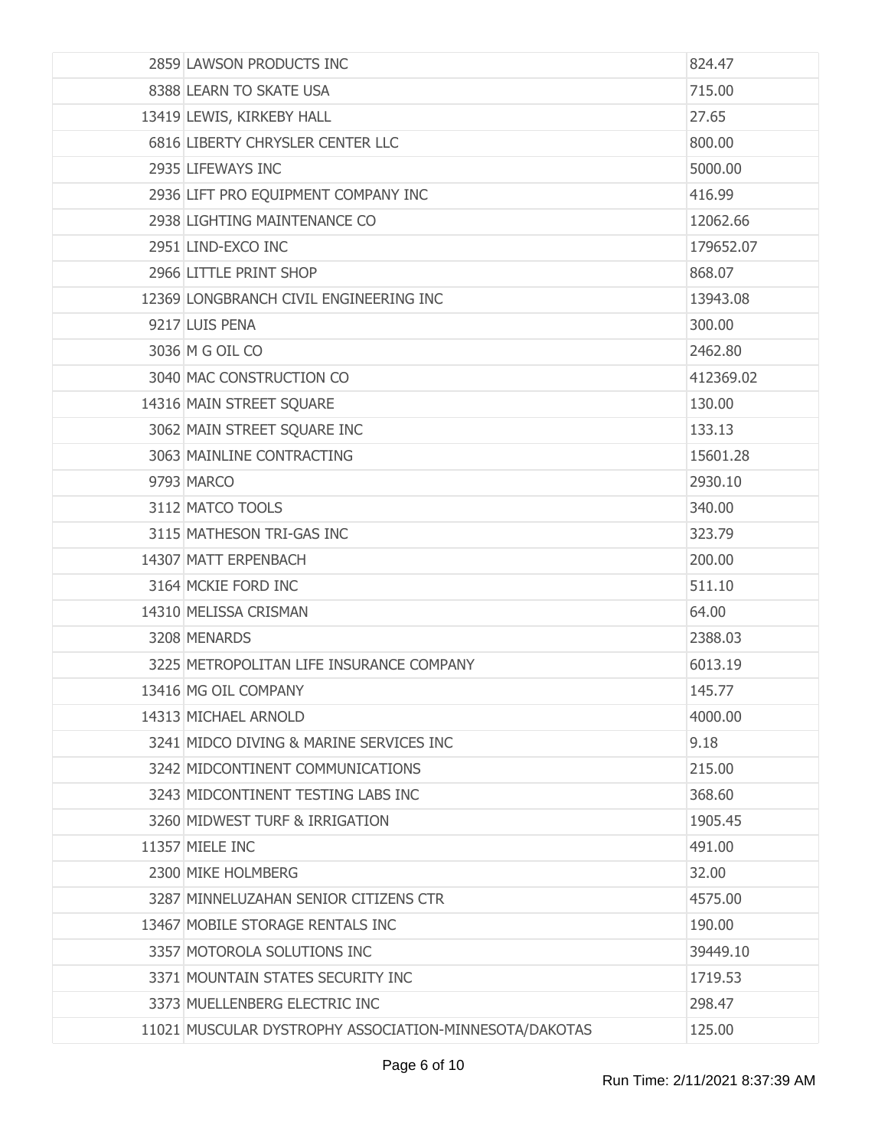| 2859 LAWSON PRODUCTS INC                               | 824.47    |
|--------------------------------------------------------|-----------|
| 8388 LEARN TO SKATE USA                                | 715.00    |
| 13419 LEWIS, KIRKEBY HALL                              | 27.65     |
| 6816 LIBERTY CHRYSLER CENTER LLC                       | 800.00    |
| 2935 LIFEWAYS INC                                      | 5000.00   |
| 2936 LIFT PRO EQUIPMENT COMPANY INC                    | 416.99    |
| 2938 LIGHTING MAINTENANCE CO                           | 12062.66  |
| 2951 LIND-EXCO INC                                     | 179652.07 |
| 2966 LITTLE PRINT SHOP                                 | 868.07    |
| 12369 LONGBRANCH CIVIL ENGINEERING INC                 | 13943.08  |
| 9217 LUIS PENA                                         | 300.00    |
| 3036 M G OIL CO                                        | 2462.80   |
| 3040 MAC CONSTRUCTION CO                               | 412369.02 |
| 14316 MAIN STREET SQUARE                               | 130.00    |
| 3062 MAIN STREET SQUARE INC                            | 133.13    |
| 3063 MAINLINE CONTRACTING                              | 15601.28  |
| 9793 MARCO                                             | 2930.10   |
| 3112 MATCO TOOLS                                       | 340.00    |
| 3115 MATHESON TRI-GAS INC                              | 323.79    |
| 14307 MATT ERPENBACH                                   | 200.00    |
| 3164 MCKIE FORD INC                                    | 511.10    |
| 14310 MELISSA CRISMAN                                  | 64.00     |
| 3208 MENARDS                                           | 2388.03   |
| 3225 METROPOLITAN LIFE INSURANCE COMPANY               | 6013.19   |
| 13416 MG OIL COMPANY                                   | 145.77    |
| 14313 MICHAEL ARNOLD                                   | 4000.00   |
| 3241 MIDCO DIVING & MARINE SERVICES INC                | 9.18      |
| 3242 MIDCONTINENT COMMUNICATIONS                       | 215.00    |
| 3243 MIDCONTINENT TESTING LABS INC                     | 368.60    |
| 3260 MIDWEST TURF & IRRIGATION                         | 1905.45   |
| 11357 MIELE INC                                        | 491.00    |
| 2300 MIKE HOLMBERG                                     | 32.00     |
| 3287 MINNELUZAHAN SENIOR CITIZENS CTR                  | 4575.00   |
| 13467 MOBILE STORAGE RENTALS INC                       | 190.00    |
| 3357 MOTOROLA SOLUTIONS INC                            | 39449.10  |
| 3371 MOUNTAIN STATES SECURITY INC                      | 1719.53   |
| 3373 MUELLENBERG ELECTRIC INC                          | 298.47    |
| 11021 MUSCULAR DYSTROPHY ASSOCIATION-MINNESOTA/DAKOTAS | 125.00    |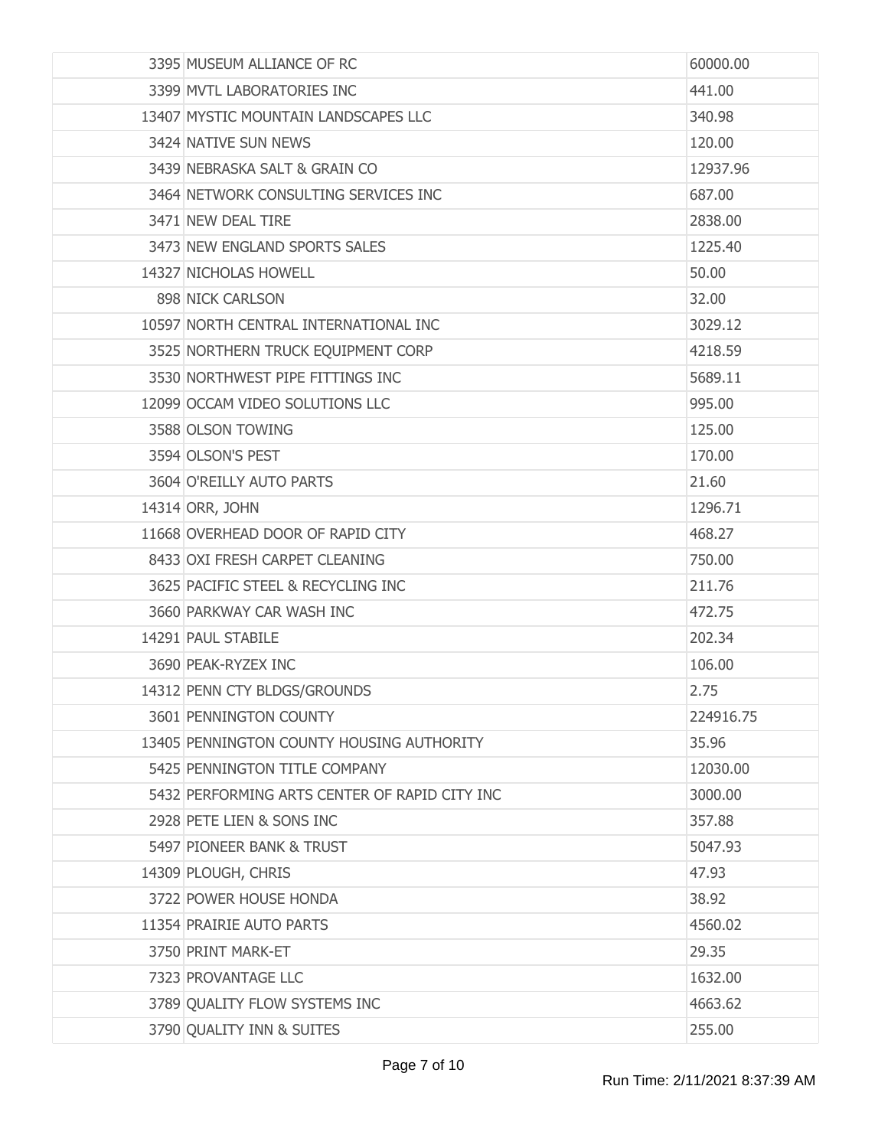| 3395 MUSEUM ALLIANCE OF RC                    | 60000.00  |
|-----------------------------------------------|-----------|
| 3399 MVTL LABORATORIES INC                    | 441.00    |
| 13407 MYSTIC MOUNTAIN LANDSCAPES LLC          | 340.98    |
| 3424 NATIVE SUN NEWS                          | 120.00    |
| 3439 NEBRASKA SALT & GRAIN CO                 | 12937.96  |
| 3464 NETWORK CONSULTING SERVICES INC          | 687.00    |
| 3471 NEW DEAL TIRE                            | 2838.00   |
| 3473 NEW ENGLAND SPORTS SALES                 | 1225.40   |
| 14327 NICHOLAS HOWELL                         | 50.00     |
| 898 NICK CARLSON                              | 32.00     |
| 10597 NORTH CENTRAL INTERNATIONAL INC         | 3029.12   |
| 3525 NORTHERN TRUCK EQUIPMENT CORP            | 4218.59   |
| 3530 NORTHWEST PIPE FITTINGS INC              | 5689.11   |
| 12099 OCCAM VIDEO SOLUTIONS LLC               | 995.00    |
| 3588 OLSON TOWING                             | 125.00    |
| 3594 OLSON'S PEST                             | 170.00    |
| 3604 O'REILLY AUTO PARTS                      | 21.60     |
| 14314 ORR, JOHN                               | 1296.71   |
| 11668 OVERHEAD DOOR OF RAPID CITY             | 468.27    |
| 8433 OXI FRESH CARPET CLEANING                | 750.00    |
| 3625 PACIFIC STEEL & RECYCLING INC            | 211.76    |
| 3660 PARKWAY CAR WASH INC                     | 472.75    |
| 14291 PAUL STABILE                            | 202.34    |
| 3690 PEAK-RYZEX INC                           | 106.00    |
| 14312 PENN CTY BLDGS/GROUNDS                  | 2.75      |
| 3601 PENNINGTON COUNTY                        | 224916.75 |
| 13405 PENNINGTON COUNTY HOUSING AUTHORITY     | 35.96     |
| 5425 PENNINGTON TITLE COMPANY                 | 12030.00  |
| 5432 PERFORMING ARTS CENTER OF RAPID CITY INC | 3000.00   |
| 2928 PETE LIEN & SONS INC                     | 357.88    |
| 5497 PIONEER BANK & TRUST                     | 5047.93   |
| 14309 PLOUGH, CHRIS                           | 47.93     |
| 3722 POWER HOUSE HONDA                        | 38.92     |
| 11354 PRAIRIE AUTO PARTS                      | 4560.02   |
| 3750 PRINT MARK-ET                            | 29.35     |
| 7323 PROVANTAGE LLC                           | 1632.00   |
| 3789 QUALITY FLOW SYSTEMS INC                 | 4663.62   |
| 3790 QUALITY INN & SUITES                     | 255.00    |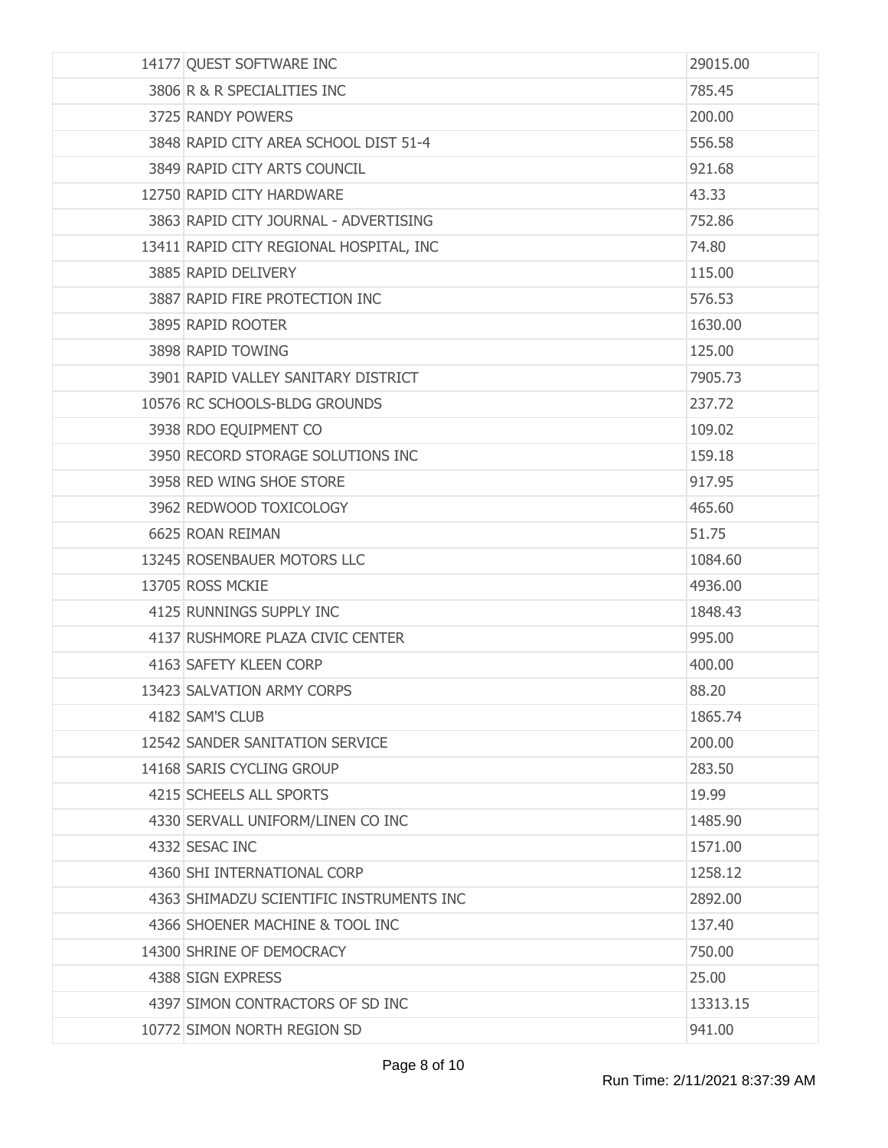| 14177 QUEST SOFTWARE INC                 | 29015.00 |
|------------------------------------------|----------|
| 3806 R & R SPECIALITIES INC              | 785.45   |
| 3725 RANDY POWERS                        | 200.00   |
| 3848 RAPID CITY AREA SCHOOL DIST 51-4    | 556.58   |
| 3849 RAPID CITY ARTS COUNCIL             | 921.68   |
| 12750 RAPID CITY HARDWARE                | 43.33    |
| 3863 RAPID CITY JOURNAL - ADVERTISING    | 752.86   |
| 13411 RAPID CITY REGIONAL HOSPITAL, INC  | 74.80    |
| 3885 RAPID DELIVERY                      | 115.00   |
| 3887 RAPID FIRE PROTECTION INC           | 576.53   |
| 3895 RAPID ROOTER                        | 1630.00  |
| 3898 RAPID TOWING                        | 125.00   |
| 3901 RAPID VALLEY SANITARY DISTRICT      | 7905.73  |
| 10576 RC SCHOOLS-BLDG GROUNDS            | 237.72   |
| 3938 RDO EQUIPMENT CO                    | 109.02   |
| 3950 RECORD STORAGE SOLUTIONS INC        | 159.18   |
| 3958 RED WING SHOE STORE                 | 917.95   |
| 3962 REDWOOD TOXICOLOGY                  | 465.60   |
| 6625 ROAN REIMAN                         | 51.75    |
| 13245 ROSENBAUER MOTORS LLC              | 1084.60  |
| 13705 ROSS MCKIE                         | 4936.00  |
| 4125 RUNNINGS SUPPLY INC                 | 1848.43  |
| 4137 RUSHMORE PLAZA CIVIC CENTER         | 995.00   |
| 4163 SAFETY KLEEN CORP                   | 400.00   |
| 13423 SALVATION ARMY CORPS               | 88.20    |
| 4182 SAM'S CLUB                          | 1865.74  |
| 12542 SANDER SANITATION SERVICE          | 200.00   |
| 14168 SARIS CYCLING GROUP                | 283.50   |
| 4215 SCHEELS ALL SPORTS                  | 19.99    |
| 4330 SERVALL UNIFORM/LINEN CO INC        | 1485.90  |
| 4332 SESAC INC                           | 1571.00  |
| 4360 SHI INTERNATIONAL CORP              | 1258.12  |
| 4363 SHIMADZU SCIENTIFIC INSTRUMENTS INC | 2892.00  |
| 4366 SHOENER MACHINE & TOOL INC          | 137.40   |
| 14300 SHRINE OF DEMOCRACY                | 750.00   |
| 4388 SIGN EXPRESS                        | 25.00    |
| 4397 SIMON CONTRACTORS OF SD INC         | 13313.15 |
| 10772 SIMON NORTH REGION SD              | 941.00   |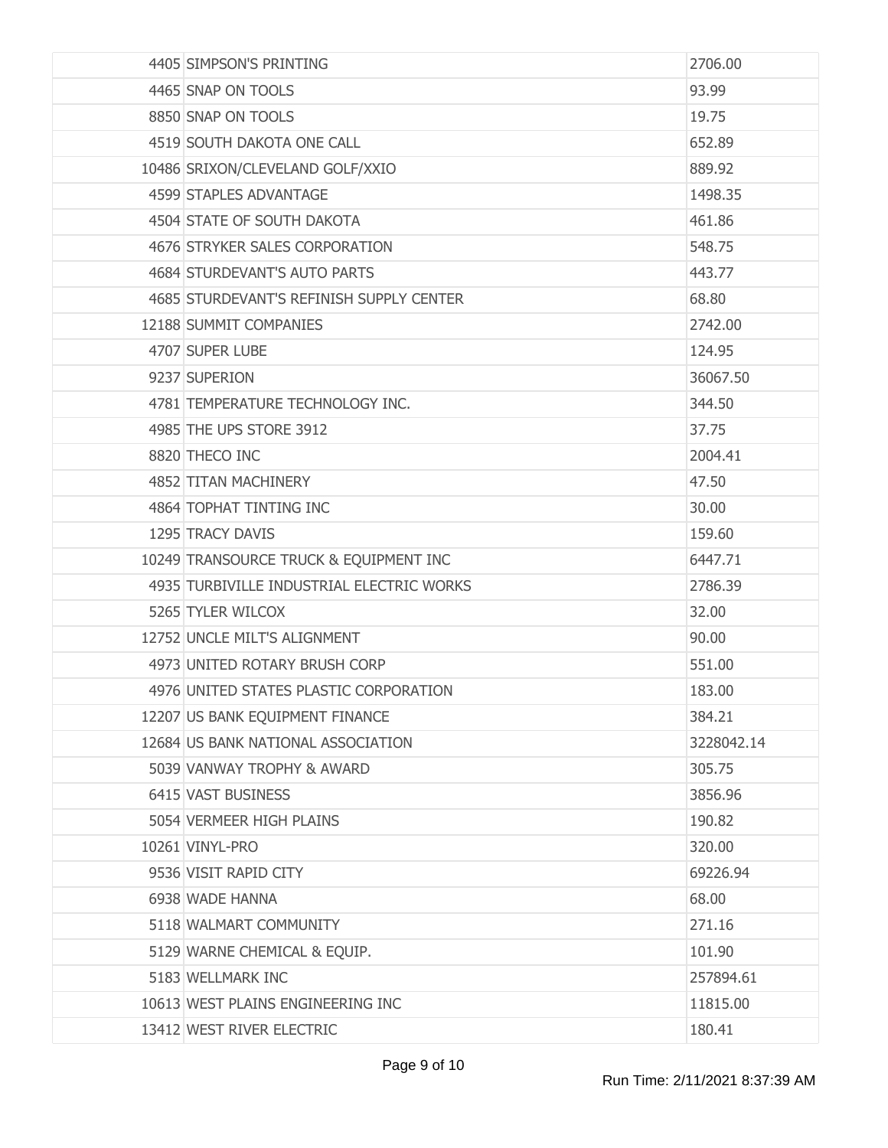| 4405 SIMPSON'S PRINTING                   | 2706.00    |
|-------------------------------------------|------------|
| 4465 SNAP ON TOOLS                        | 93.99      |
| 8850 SNAP ON TOOLS                        | 19.75      |
| 4519 SOUTH DAKOTA ONE CALL                | 652.89     |
| 10486 SRIXON/CLEVELAND GOLF/XXIO          | 889.92     |
| 4599 STAPLES ADVANTAGE                    | 1498.35    |
| 4504 STATE OF SOUTH DAKOTA                | 461.86     |
| 4676 STRYKER SALES CORPORATION            | 548.75     |
| 4684 STURDEVANT'S AUTO PARTS              | 443.77     |
| 4685 STURDEVANT'S REFINISH SUPPLY CENTER  | 68.80      |
| 12188 SUMMIT COMPANIES                    | 2742.00    |
| 4707 SUPER LUBE                           | 124.95     |
| 9237 SUPERION                             | 36067.50   |
| 4781 TEMPERATURE TECHNOLOGY INC.          | 344.50     |
| 4985 THE UPS STORE 3912                   | 37.75      |
| 8820 THECO INC                            | 2004.41    |
| 4852 TITAN MACHINERY                      | 47.50      |
| 4864 TOPHAT TINTING INC                   | 30.00      |
| 1295 TRACY DAVIS                          | 159.60     |
| 10249 TRANSOURCE TRUCK & EQUIPMENT INC    | 6447.71    |
| 4935 TURBIVILLE INDUSTRIAL ELECTRIC WORKS | 2786.39    |
| 5265 TYLER WILCOX                         | 32.00      |
| 12752 UNCLE MILT'S ALIGNMENT              | 90.00      |
| 4973 UNITED ROTARY BRUSH CORP             | 551.00     |
| 4976 UNITED STATES PLASTIC CORPORATION    | 183.00     |
| 12207 US BANK EQUIPMENT FINANCE           | 384.21     |
| 12684 US BANK NATIONAL ASSOCIATION        | 3228042.14 |
| 5039 VANWAY TROPHY & AWARD                | 305.75     |
| 6415 VAST BUSINESS                        | 3856.96    |
| 5054 VERMEER HIGH PLAINS                  | 190.82     |
| 10261 VINYL-PRO                           | 320.00     |
| 9536 VISIT RAPID CITY                     | 69226.94   |
| 6938 WADE HANNA                           | 68.00      |
| 5118 WALMART COMMUNITY                    | 271.16     |
| 5129 WARNE CHEMICAL & EQUIP.              | 101.90     |
| 5183 WELLMARK INC                         | 257894.61  |
| 10613 WEST PLAINS ENGINEERING INC         | 11815.00   |
| 13412 WEST RIVER ELECTRIC                 | 180.41     |